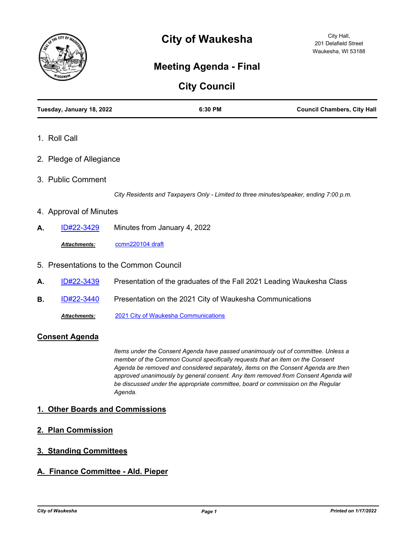

# **City of Waukesha**

## **Meeting Agenda - Final**

## **City Council**

| Tuesday, January 18, 2022 |                                        | 6:30 PM                                                                                | <b>Council Chambers, City Hall</b> |  |
|---------------------------|----------------------------------------|----------------------------------------------------------------------------------------|------------------------------------|--|
| 1. Roll Call              |                                        |                                                                                        |                                    |  |
| 2. Pledge of Allegiance   |                                        |                                                                                        |                                    |  |
| 3. Public Comment         |                                        |                                                                                        |                                    |  |
|                           |                                        | City Residents and Taxpayers Only - Limited to three minutes/speaker, ending 7:00 p.m. |                                    |  |
| 4. Approval of Minutes    |                                        |                                                                                        |                                    |  |
| ID#22-3429<br>А.          |                                        | Minutes from January 4, 2022                                                           |                                    |  |
| Attachments:              | ccmn220104 draft                       |                                                                                        |                                    |  |
|                           | 5. Presentations to the Common Council |                                                                                        |                                    |  |
| ID#22-3439<br>А.          |                                        | Presentation of the graduates of the Fall 2021 Leading Waukesha Class                  |                                    |  |

**B.** [ID#22-3440](http://waukesha.legistar.com/gateway.aspx?m=l&id=/matter.aspx?key=16388) Presentation on the 2021 City of Waukesha Communications

*Attachments:* [2021 City of Waukesha Communications](http://waukesha.legistar.com/gateway.aspx?M=F&ID=a3102deb-4eb3-4621-ac36-cc4a8d4293dd.pdf)

#### **Consent Agenda**

*Items under the Consent Agenda have passed unanimously out of committee. Unless a member of the Common Council specifically requests that an item on the Consent Agenda be removed and considered separately, items on the Consent Agenda are then approved unanimously by general consent. Any item removed from Consent Agenda will be discussed under the appropriate committee, board or commission on the Regular Agenda.*

#### **1. Other Boards and Commissions**

**2. Plan Commission**

## **3. Standing Committees**

## **A. Finance Committee - Ald. Pieper**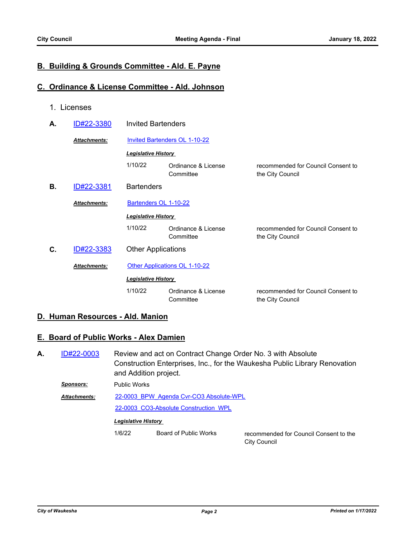### **B. Building & Grounds Committee - Ald. E. Payne**

#### **C. Ordinance & License Committee - Ald. Johnson**

1. Licenses

| А.                               | ID#22-3380          | <b>Invited Bartenders</b>            |                                  |                                                        |  |
|----------------------------------|---------------------|--------------------------------------|----------------------------------|--------------------------------------------------------|--|
|                                  | Attachments:        | <b>Invited Bartenders OL 1-10-22</b> |                                  |                                                        |  |
|                                  |                     | <b>Legislative History</b>           |                                  |                                                        |  |
|                                  |                     | 1/10/22                              | Ordinance & License<br>Committee | recommended for Council Consent to<br>the City Council |  |
| В.                               | ID#22-3381          | <b>Bartenders</b>                    |                                  |                                                        |  |
|                                  | <b>Attachments:</b> | Bartenders OL 1-10-22                |                                  |                                                        |  |
|                                  |                     | <b>Legislative History</b>           |                                  |                                                        |  |
|                                  |                     | 1/10/22                              | Ordinance & License<br>Committee | recommended for Council Consent to<br>the City Council |  |
| ID#22-3383<br>С.<br>Attachments: |                     | <b>Other Applications</b>            |                                  |                                                        |  |
|                                  |                     | Other Applications OL 1-10-22        |                                  |                                                        |  |
|                                  |                     | <b>Legislative History</b>           |                                  |                                                        |  |
|                                  |                     | 1/10/22                              | Ordinance & License<br>Committee | recommended for Council Consent to<br>the City Council |  |
|                                  |                     |                                      |                                  |                                                        |  |

#### **D. Human Resources - Ald. Manion**

### **E. Board of Public Works - Alex Damien**

Review and act on Contract Change Order No. 3 with Absolute Construction Enterprises, Inc., for the Waukesha Public Library Renovation and Addition project. **A.** [ID#22-0003](http://waukesha.legistar.com/gateway.aspx?m=l&id=/matter.aspx?key=16290)

*Sponsors:* Public Works [22-0003\\_BPW\\_Agenda Cvr-CO3 Absolute-WPL](http://waukesha.legistar.com/gateway.aspx?M=F&ID=dce99a57-73f0-4c08-88df-bfa155db2f4c.pdf) [22-0003\\_CO3-Absolute Construction\\_WPL](http://waukesha.legistar.com/gateway.aspx?M=F&ID=272ad424-60ea-4a74-a8b9-243d8b918e10.pdf) *Attachments:*

#### *Legislative History*

1/6/22 Board of Public Works recommended for Council Consent to the

City Council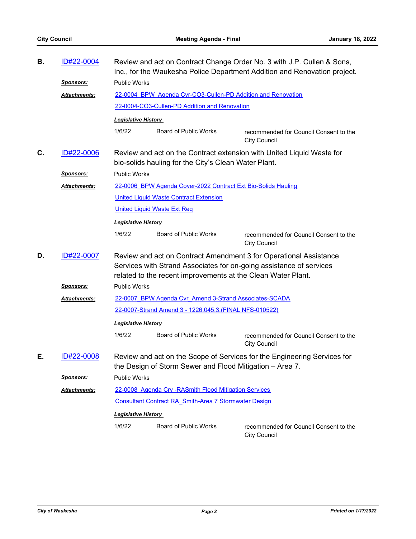| В. | ID#22-0004       | Review and act on Contract Change Order No. 3 with J.P. Cullen & Sons,<br>Inc., for the Waukesha Police Department Addition and Renovation project.                                                      |                                                              |                                                               |  |
|----|------------------|----------------------------------------------------------------------------------------------------------------------------------------------------------------------------------------------------------|--------------------------------------------------------------|---------------------------------------------------------------|--|
|    | <u>Sponsors:</u> | <b>Public Works</b>                                                                                                                                                                                      |                                                              |                                                               |  |
|    | Attachments:     |                                                                                                                                                                                                          | 22-0004 BPW Agenda Cvr-CO3-Cullen-PD Addition and Renovation |                                                               |  |
|    |                  | 22-0004-CO3-Cullen-PD Addition and Renovation                                                                                                                                                            |                                                              |                                                               |  |
|    |                  | <b>Legislative History</b>                                                                                                                                                                               |                                                              |                                                               |  |
|    |                  | 1/6/22                                                                                                                                                                                                   | <b>Board of Public Works</b>                                 | recommended for Council Consent to the<br><b>City Council</b> |  |
| C. | ID#22-0006       | Review and act on the Contract extension with United Liquid Waste for<br>bio-solids hauling for the City's Clean Water Plant.                                                                            |                                                              |                                                               |  |
|    | <u>Sponsors:</u> | <b>Public Works</b>                                                                                                                                                                                      |                                                              |                                                               |  |
|    | Attachments:     | 22-0006 BPW Agenda Cover-2022 Contract Ext Bio-Solids Hauling                                                                                                                                            |                                                              |                                                               |  |
|    |                  |                                                                                                                                                                                                          | <b>United Liquid Waste Contract Extension</b>                |                                                               |  |
|    |                  | <b>United Liquid Waste Ext Req</b>                                                                                                                                                                       |                                                              |                                                               |  |
|    |                  | <b>Legislative History</b>                                                                                                                                                                               |                                                              |                                                               |  |
|    |                  | 1/6/22                                                                                                                                                                                                   | <b>Board of Public Works</b>                                 | recommended for Council Consent to the<br><b>City Council</b> |  |
| D. | ID#22-0007       | Review and act on Contract Amendment 3 for Operational Assistance<br>Services with Strand Associates for on-going assistance of services<br>related to the recent improvements at the Clean Water Plant. |                                                              |                                                               |  |
|    | <b>Sponsors:</b> | <b>Public Works</b>                                                                                                                                                                                      |                                                              |                                                               |  |
|    | Attachments:     | 22-0007 BPW Agenda Cvr Amend 3-Strand Associates-SCADA                                                                                                                                                   |                                                              |                                                               |  |
|    |                  |                                                                                                                                                                                                          | 22-0007-Strand Amend 3 - 1226.045.3. (FINAL NFS-010522)      |                                                               |  |
|    |                  | <b>Legislative History</b>                                                                                                                                                                               |                                                              |                                                               |  |
|    |                  | 1/6/22                                                                                                                                                                                                   | <b>Board of Public Works</b>                                 | recommended for Council Consent to the<br><b>City Council</b> |  |
| Е. | ID#22-0008       | Review and act on the Scope of Services for the Engineering Services for<br>the Design of Storm Sewer and Flood Mitigation - Area 7.                                                                     |                                                              |                                                               |  |
|    | <u>Sponsors:</u> | <b>Public Works</b>                                                                                                                                                                                      |                                                              |                                                               |  |
|    | Attachments:     | 22-0008 Agenda Crv - RASmith Flood Mitigation Services                                                                                                                                                   |                                                              |                                                               |  |
|    |                  | <b>Consultant Contract RA Smith-Area 7 Stormwater Design</b>                                                                                                                                             |                                                              |                                                               |  |
|    |                  | <b>Legislative History</b>                                                                                                                                                                               |                                                              |                                                               |  |
|    |                  | 1/6/22                                                                                                                                                                                                   | <b>Board of Public Works</b>                                 | recommended for Council Consent to the<br><b>City Council</b> |  |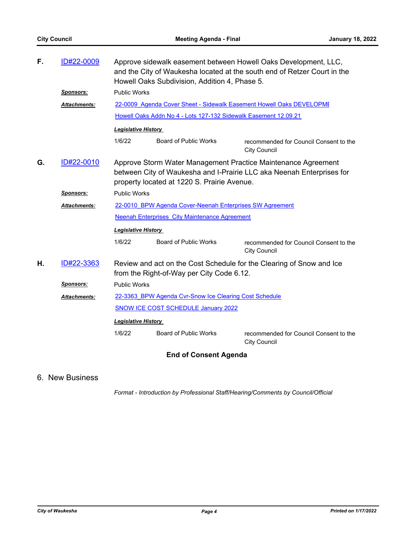| F. | ID#22-0009          | Approve sidewalk easement between Howell Oaks Development, LLC,<br>and the City of Waukesha located at the south end of Retzer Court in the<br>Howell Oaks Subdivision, Addition 4, Phase 5. |                              |                                                               |  |
|----|---------------------|----------------------------------------------------------------------------------------------------------------------------------------------------------------------------------------------|------------------------------|---------------------------------------------------------------|--|
|    | <b>Sponsors:</b>    | <b>Public Works</b>                                                                                                                                                                          |                              |                                                               |  |
|    | <b>Attachments:</b> | 22-0009 Agenda Cover Sheet - Sidewalk Easement Howell Oaks DEVELOPMI                                                                                                                         |                              |                                                               |  |
|    |                     | Howell Oaks Addn No 4 - Lots 127-132 Sidewalk Easement 12.09.21                                                                                                                              |                              |                                                               |  |
|    |                     | <b>Legislative History</b>                                                                                                                                                                   |                              |                                                               |  |
|    |                     | 1/6/22                                                                                                                                                                                       | <b>Board of Public Works</b> | recommended for Council Consent to the<br><b>City Council</b> |  |
| G. | ID#22-0010          | Approve Storm Water Management Practice Maintenance Agreement<br>between City of Waukesha and I-Prairie LLC aka Neenah Enterprises for<br>property located at 1220 S. Prairie Avenue.        |                              |                                                               |  |
|    | <b>Sponsors:</b>    | <b>Public Works</b>                                                                                                                                                                          |                              |                                                               |  |
|    | <b>Attachments:</b> | 22-0010 BPW Agenda Cover-Neenah Enterprises SW Agreement                                                                                                                                     |                              |                                                               |  |
|    |                     | <b>Neenah Enterprises City Maintenance Agreement</b>                                                                                                                                         |                              |                                                               |  |
|    |                     | <b>Legislative History</b>                                                                                                                                                                   |                              |                                                               |  |
|    |                     | 1/6/22                                                                                                                                                                                       | Board of Public Works        | recommended for Council Consent to the<br><b>City Council</b> |  |
| Η. | ID#22-3363          | Review and act on the Cost Schedule for the Clearing of Snow and Ice<br>from the Right-of-Way per City Code 6.12.                                                                            |                              |                                                               |  |
|    | <b>Sponsors:</b>    | <b>Public Works</b>                                                                                                                                                                          |                              |                                                               |  |
|    | <b>Attachments:</b> | 22-3363 BPW Agenda Cvr-Snow Ice Clearing Cost Schedule                                                                                                                                       |                              |                                                               |  |
|    |                     | <b>SNOW ICE COST SCHEDULE January 2022</b>                                                                                                                                                   |                              |                                                               |  |
|    |                     | <b>Legislative History</b>                                                                                                                                                                   |                              |                                                               |  |
|    |                     | 1/6/22                                                                                                                                                                                       | <b>Board of Public Works</b> | recommended for Council Consent to the<br><b>City Council</b> |  |

## **End of Consent Agenda**

## 6. New Business

*Format - Introduction by Professional Staff/Hearing/Comments by Council/Official*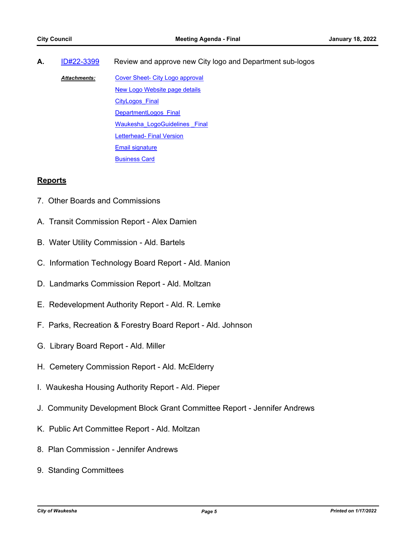**A.** [ID#22-3399](http://waukesha.legistar.com/gateway.aspx?m=l&id=/matter.aspx?key=16341) Review and approve new City logo and Department sub-logos

[Cover Sheet- City Logo approval](http://waukesha.legistar.com/gateway.aspx?M=F&ID=bd333bbe-c231-4e7b-8b42-55b6327bb6b1.pdf) [New Logo Website page details](http://waukesha.legistar.com/gateway.aspx?M=F&ID=e71a6d26-59b8-4031-b4b4-11f3e96a6b61.pdf) [CityLogos\\_Final](http://waukesha.legistar.com/gateway.aspx?M=F&ID=5b29432b-a8be-49d5-b69a-496f9a42619e.pdf) [DepartmentLogos\\_Final](http://waukesha.legistar.com/gateway.aspx?M=F&ID=08d3b205-3d99-4aa2-bbf4-271651f71809.pdf) Waukesha LogoGuidelines Final **[Letterhead- Final Version](http://waukesha.legistar.com/gateway.aspx?M=F&ID=a5a8149d-1458-49f7-8bee-574891bcd395.pdf)** [Email signature](http://waukesha.legistar.com/gateway.aspx?M=F&ID=2335aec2-2008-4d0a-9b8e-d33d9ac64b5b.pdf) [Business Card](http://waukesha.legistar.com/gateway.aspx?M=F&ID=36f6d0a0-02de-4c6b-b2bf-c6a87b01a610.pdf) *Attachments:*

#### **Reports**

- 7. Other Boards and Commissions
- A. Transit Commission Report Alex Damien
- B. Water Utility Commission Ald. Bartels
- C. Information Technology Board Report Ald. Manion
- D. Landmarks Commission Report Ald. Moltzan
- E. Redevelopment Authority Report Ald. R. Lemke
- F. Parks, Recreation & Forestry Board Report Ald. Johnson
- G. Library Board Report Ald. Miller
- H. Cemetery Commission Report Ald. McElderry
- I. Waukesha Housing Authority Report Ald. Pieper
- J. Community Development Block Grant Committee Report Jennifer Andrews
- K. Public Art Committee Report Ald. Moltzan
- 8. Plan Commission Jennifer Andrews
- 9. Standing Committees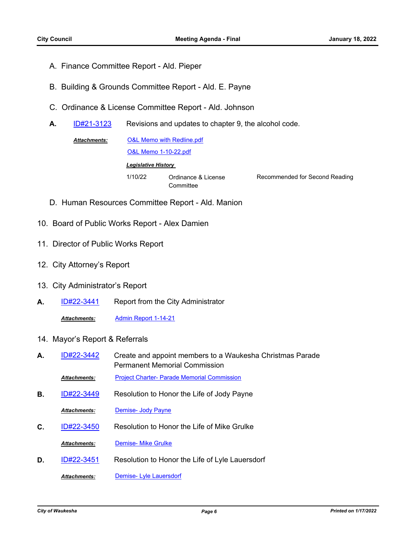- A. Finance Committee Report Ald. Pieper
- B. Building & Grounds Committee Report Ald. E. Payne
- C. Ordinance & License Committee Report Ald. Johnson
- **A.** [ID#21-3123](http://waukesha.legistar.com/gateway.aspx?m=l&id=/matter.aspx?key=16098) Revisions and updates to chapter 9, the alcohol code.
	- [O&L Memo with Redline.pdf](http://waukesha.legistar.com/gateway.aspx?M=F&ID=3c8f61b6-3b51-4906-9a32-013774ce941e.pdf) [O&L Memo 1-10-22.pdf](http://waukesha.legistar.com/gateway.aspx?M=F&ID=9ce82eb3-fdf1-4c6c-9b2a-b503f9d32f27.pdf) *Attachments: Legislative History*  1/10/22 Ordinance & License **Committee**

Recommended for Second Reading

- D. Human Resources Committee Report Ald. Manion
- 10. Board of Public Works Report Alex Damien
- 11. Director of Public Works Report
- 12. City Attorney's Report
- 13. City Administrator's Report
- **A.** [ID#22-3441](http://waukesha.legistar.com/gateway.aspx?m=l&id=/matter.aspx?key=16389) Report from the City Administrator

*Attachments:* [Admin Report 1-14-21](http://waukesha.legistar.com/gateway.aspx?M=F&ID=1ef2029d-f3d6-4dcf-9522-dcb0ba7a95b9.pdf)

14. Mayor's Report & Referrals

| А. | ID#22-3442          | Create and appoint members to a Waukesha Christmas Parade<br><b>Permanent Memorial Commission</b> |
|----|---------------------|---------------------------------------------------------------------------------------------------|
|    | <b>Attachments:</b> | <b>Project Charter- Parade Memorial Commission</b>                                                |
| В. | ID#22-3449          | Resolution to Honor the Life of Jody Payne                                                        |
|    | <b>Attachments:</b> | Demise- Jody Payne                                                                                |
| C. | ID#22-3450          | Resolution to Honor the Life of Mike Grulke                                                       |
|    | <b>Attachments:</b> | Demise- Mike Grulke                                                                               |
| D. | ID#22-3451          | Resolution to Honor the Life of Lyle Lauersdorf                                                   |
|    |                     |                                                                                                   |

*Attachments:* [Demise- Lyle Lauersdorf](http://waukesha.legistar.com/gateway.aspx?M=F&ID=97835223-580d-48fe-adb6-5d6c685fc294.pdf)